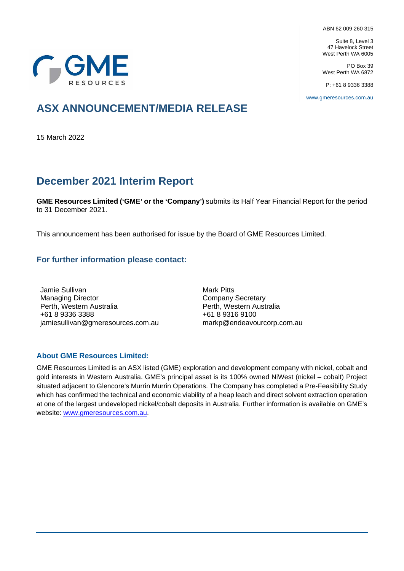ABN 62 009 260 315

Suite 8, Level 3 47 Havelock Street West Perth WA 6005

PO Box 39 West Perth WA 6872

P: +61 8 9336 3388

[www.gmeresources.com.au](file:///C:%5CUsers%5Cmarkp%5CAppData%5CLocal%5CMicrosoft%5CWindows%5Cjamiesullivan%5CAppData%5CLocal%5CMicrosoft%5CWindows%5CUsers%5Cjamiesullivan%5CAppData%5CLocal%5CMicrosoft%5CWindows%5CUsers%5Cjsullivan%5CAppData%5CLocal%5CMicrosoft%5CAppData%5CLocal%5CPackages%5CMicrosoft.Office.Desktop_8wekyb3d8bbwe%5CAC%5CINetCache%5CContent.Outlook%5C8ZYDSZ3R%5Cwww.gmeresources.com.au)

# **GGME**

## **ASX ANNOUNCEMENT/MEDIA RELEASE**

15 March 2022

## **December 2021 Interim Report**

**GME Resources Limited ('GME' or the 'Company')** submits its Half Year Financial Report for the period to 31 December 2021.

This announcement has been authorised for issue by the Board of GME Resources Limited.

## **For further information please contact:**

Jamie Sullivan Managing Director Perth, Western Australia +61 8 9336 3388 jamiesullivan@gmeresources.com.au Mark Pitts Company Secretary Perth, Western Australia +61 8 9316 9100 markp@endeavourcorp.com.au

## **About GME Resources Limited:**

GME Resources Limited is an ASX listed (GME) exploration and development company with nickel, cobalt and gold interests in Western Australia. GME's principal asset is its 100% owned NiWest (nickel – cobalt) Project situated adjacent to Glencore's Murrin Murrin Operations. The Company has completed a Pre-Feasibility Study which has confirmed the technical and economic viability of a heap leach and direct solvent extraction operation at one of the largest undeveloped nickel/cobalt deposits in Australia. Further information is available on GME's website: [www.gmeresources.com.au.](http://www.gmeresources.com.au/)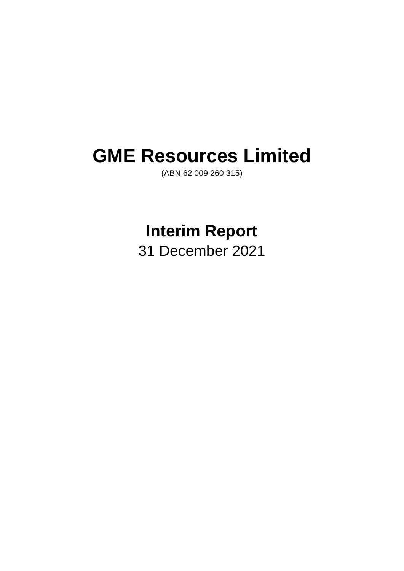## **GME Resources Limited**

(ABN 62 009 260 315)

## **Interim Report**

31 December 2021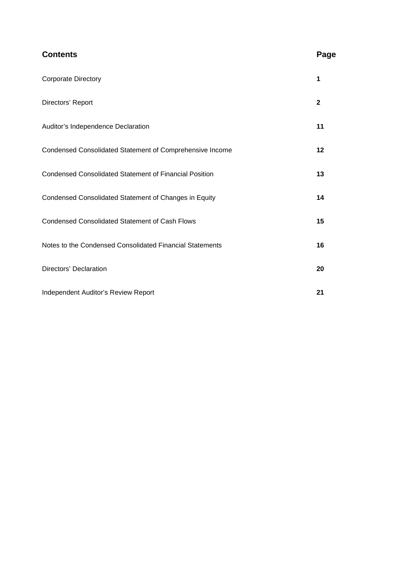| <b>Contents</b>                                               | Page         |
|---------------------------------------------------------------|--------------|
| <b>Corporate Directory</b>                                    | 1            |
| Directors' Report                                             | $\mathbf{2}$ |
| Auditor's Independence Declaration                            | 11           |
| Condensed Consolidated Statement of Comprehensive Income      | 12           |
| <b>Condensed Consolidated Statement of Financial Position</b> | 13           |
| Condensed Consolidated Statement of Changes in Equity         | 14           |
| <b>Condensed Consolidated Statement of Cash Flows</b>         | 15           |
| Notes to the Condensed Consolidated Financial Statements      | 16           |
| Directors' Declaration                                        | 20           |
| Independent Auditor's Review Report                           | 21           |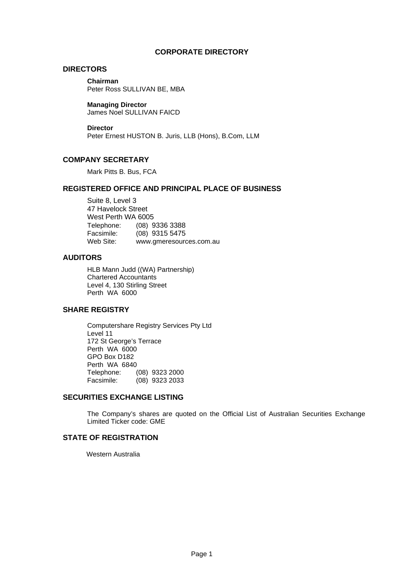## **CORPORATE DIRECTORY**

## **DIRECTORS**

**Chairman**

Peter Ross SULLIVAN BE, MBA

## **Managing Director**

James Noel SULLIVAN FAICD

#### **Director**

Peter Ernest HUSTON B. Juris, LLB (Hons), B.Com, LLM

## **COMPANY SECRETARY**

Mark Pitts B. Bus, FCA

## **REGISTERED OFFICE AND PRINCIPAL PLACE OF BUSINESS**

Suite 8, Level 3 47 Havelock Street West Perth WA 6005 Telephone: (08) 9336 3388 Facsimile: (08) 9315 5475<br>Web Site: www.gmeresoure www.gmeresources.com.au

## **AUDITORS**

HLB Mann Judd ((WA) Partnership) Chartered Accountants Level 4, 130 Stirling Street Perth WA 6000

## **SHARE REGISTRY**

Computershare Registry Services Pty Ltd Level 11 172 St George's Terrace Perth WA 6000 GPO Box D182 Perth WA 6840 Telephone: (08) 9323 2000 Facsimile: (08) 9323 2033

## **SECURITIES EXCHANGE LISTING**

The Company's shares are quoted on the Official List of Australian Securities Exchange Limited Ticker code: GME

## **STATE OF REGISTRATION**

Western Australia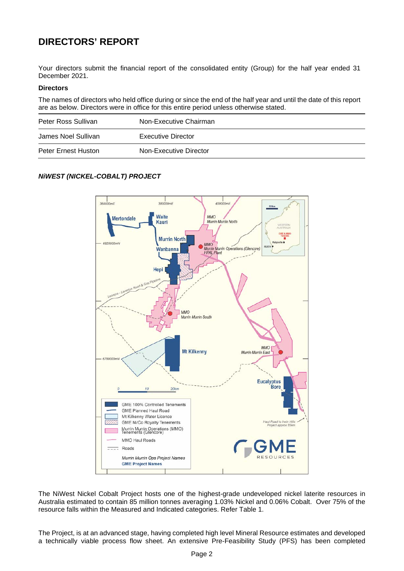## **DIRECTORS' REPORT**

Your directors submit the financial report of the consolidated entity (Group) for the half year ended 31 December 2021.

## **Directors**

The names of directors who held office during or since the end of the half year and until the date of this report are as below. Directors were in office for this entire period unless otherwise stated.

| Peter Ross Sullivan | Non-Executive Chairman |
|---------------------|------------------------|
| James Noel Sullivan | Executive Director     |
| Peter Ernest Huston | Non-Executive Director |

## *NiWEST (NICKEL-COBALT) PROJECT*



The NiWest Nickel Cobalt Project hosts one of the highest-grade undeveloped nickel laterite resources in Australia estimated to contain 85 million tonnes averaging 1.03% Nickel and 0.06% Cobalt. Over 75% of the resource falls within the Measured and Indicated categories. Refer Table 1.

The Project, is at an advanced stage, having completed high level Mineral Resource estimates and developed a technically viable process flow sheet. An extensive Pre-Feasibility Study (PFS) has been completed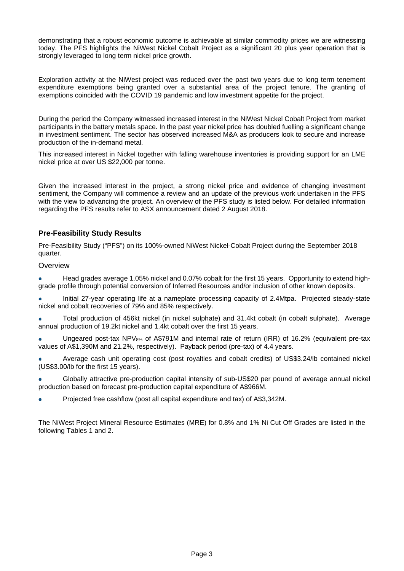demonstrating that a robust economic outcome is achievable at similar commodity prices we are witnessing today. The PFS highlights the NiWest Nickel Cobalt Project as a significant 20 plus year operation that is strongly leveraged to long term nickel price growth.

Exploration activity at the NiWest project was reduced over the past two years due to long term tenement expenditure exemptions being granted over a substantial area of the project tenure. The granting of exemptions coincided with the COVID 19 pandemic and low investment appetite for the project.

During the period the Company witnessed increased interest in the NiWest Nickel Cobalt Project from market participants in the battery metals space. In the past year nickel price has doubled fuelling a significant change in investment sentiment. The sector has observed increased M&A as producers look to secure and increase production of the in-demand metal.

This increased interest in Nickel together with falling warehouse inventories is providing support for an LME nickel price at over US \$22,000 per tonne.

Given the increased interest in the project, a strong nickel price and evidence of changing investment sentiment, the Company will commence a review and an update of the previous work undertaken in the PFS with the view to advancing the project. An overview of the PFS study is listed below. For detailed information regarding the PFS results refer to ASX announcement dated 2 August 2018.

## **Pre-Feasibility Study Results**

Pre-Feasibility Study ("PFS") on its 100%-owned NiWest Nickel-Cobalt Project during the September 2018 quarter.

**Overview** 

Head grades average 1.05% nickel and 0.07% cobalt for the first 15 years. Opportunity to extend highgrade profile through potential conversion of Inferred Resources and/or inclusion of other known deposits.

Initial 27-year operating life at a nameplate processing capacity of 2.4Mtpa. Projected steady-state nickel and cobalt recoveries of 79% and 85% respectively.

Total production of 456kt nickel (in nickel sulphate) and 31.4kt cobalt (in cobalt sulphate). Average  $\bullet$ annual production of 19.2kt nickel and 1.4kt cobalt over the first 15 years.

Ungeared post-tax NPV $_{8\%}$  of A\$791M and internal rate of return (IRR) of 16.2% (equivalent pre-tax values of A\$1,390M and 21.2%, respectively). Payback period (pre-tax) of 4.4 years.

Average cash unit operating cost (post royalties and cobalt credits) of US\$3.24/lb contained nickel (US\$3.00/lb for the first 15 years).

Globally attractive pre-production capital intensity of sub-US\$20 per pound of average annual nickel production based on forecast pre-production capital expenditure of A\$966M.

Projected free cashflow (post all capital expenditure and tax) of A\$3,342M.

The NiWest Project Mineral Resource Estimates (MRE) for 0.8% and 1% Ni Cut Off Grades are listed in the following Tables 1 and 2.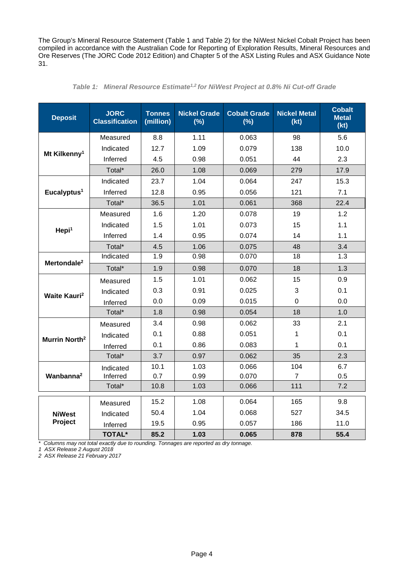The Group's Mineral Resource Statement (Table 1 and Table 2) for the NiWest Nickel Cobalt Project has been compiled in accordance with the Australian Code for Reporting of Exploration Results, Mineral Resources and Ore Reserves (The JORC Code 2012 Edition) and Chapter 5 of the ASX Listing Rules and ASX Guidance Note 31.

| <b>Deposit</b>                 | <b>JORC</b><br><b>Classification</b> | <b>Tonnes</b><br>(million) | <b>Nickel Grade</b><br>(%) | <b>Cobalt Grade</b><br>$(\%)$ | <b>Nickel Metal</b><br>(kt) | <b>Cobalt</b><br><b>Metal</b><br>(kt) |
|--------------------------------|--------------------------------------|----------------------------|----------------------------|-------------------------------|-----------------------------|---------------------------------------|
|                                | Measured                             | 8.8                        | 1.11                       | 0.063                         | 98                          | 5.6                                   |
|                                | Indicated                            | 12.7                       | 1.09                       | 0.079                         | 138                         | 10.0                                  |
| Mt Kilkenny <sup>1</sup>       | Inferred                             | 4.5                        | 0.98                       | 0.051                         | 44                          | 2.3                                   |
|                                | Total*                               | 26.0                       | 1.08                       | 0.069                         | 279                         | 17.9                                  |
|                                | Indicated                            | 23.7                       | 1.04                       | 0.064                         | 247                         | 15.3                                  |
| Eucalyptus <sup>1</sup>        | Inferred                             | 12.8                       | 0.95                       | 0.056                         | 121                         | 7.1                                   |
|                                | Total*                               | 36.5                       | 1.01                       | 0.061                         | 368                         | 22.4                                  |
|                                | Measured                             | 1.6                        | 1.20                       | 0.078                         | 19                          | 1.2                                   |
| Hepi <sup>1</sup>              | Indicated                            | 1.5                        | 1.01                       | 0.073                         | 15                          | 1.1                                   |
|                                | Inferred                             | 1.4                        | 0.95                       | 0.074                         | 14                          | 1.1                                   |
|                                | Total*                               | 4.5                        | 1.06                       | 0.075                         | 48                          | 3.4                                   |
| Mertondale <sup>2</sup>        | Indicated                            | 1.9                        | 0.98                       | 0.070                         | 18                          | 1.3                                   |
|                                | Total*                               | 1.9                        | 0.98                       | 0.070                         | 18                          | 1.3                                   |
|                                | Measured                             | 1.5                        | 1.01                       | 0.062                         | 15                          | 0.9                                   |
| <b>Waite Kauri<sup>2</sup></b> | Indicated                            | 0.3                        | 0.91                       | 0.025                         | 3                           | 0.1                                   |
|                                | Inferred                             | 0.0                        | 0.09                       | 0.015                         | $\mathbf 0$                 | 0.0                                   |
|                                | Total*                               | 1.8                        | 0.98                       | 0.054                         | 18                          | 1.0                                   |
|                                | Measured                             | 3.4                        | 0.98                       | 0.062                         | 33                          | 2.1                                   |
| Murrin North <sup>2</sup>      | Indicated                            | 0.1                        | 0.88                       | 0.051                         | 1                           | 0.1                                   |
|                                | Inferred                             | 0.1                        | 0.86                       | 0.083                         | 1                           | 0.1                                   |
|                                | Total*                               | 3.7                        | 0.97                       | 0.062                         | 35                          | 2.3                                   |
|                                | Indicated                            | 10.1                       | 1.03                       | 0.066                         | 104                         | 6.7                                   |
| Wanbanna <sup>2</sup>          | Inferred                             | 0.7                        | 0.99                       | 0.070                         | $\overline{7}$              | 0.5                                   |
|                                | Total*                               | 10.8                       | 1.03                       | 0.066                         | 111                         | 7.2                                   |
|                                | Measured                             | 15.2                       | 1.08                       | 0.064                         | 165                         | 9.8                                   |
| <b>NiWest</b>                  | Indicated                            | 50.4                       | 1.04                       | 0.068                         | 527                         | 34.5                                  |
| Project                        | Inferred                             | 19.5                       | 0.95                       | 0.057                         | 186                         | 11.0                                  |
|                                | <b>TOTAL*</b>                        | 85.2                       | 1.03                       | 0.065                         | 878                         | 55.4                                  |

|  |  |  | Table 1: Mineral Resource Estimate <sup>1,2</sup> for NiWest Project at 0.8% Ni Cut-off Grade |  |  |  |  |  |  |  |  |
|--|--|--|-----------------------------------------------------------------------------------------------|--|--|--|--|--|--|--|--|
|--|--|--|-----------------------------------------------------------------------------------------------|--|--|--|--|--|--|--|--|

*\* Columns may not total exactly due to rounding. Tonnages are reported as dry tonnage.*

*1 ASX Release 2 August 2018*

*2 ASX Release 21 February 2017*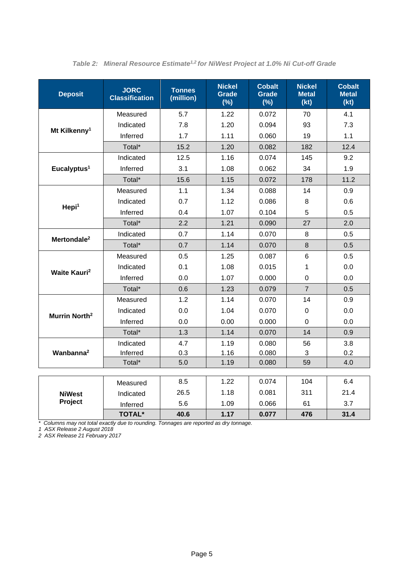| <b>Deposit</b>                  | <b>JORC</b><br><b>Classification</b> | <b>Tonnes</b><br>(million) | <b>Nickel</b><br>Grade<br>(%) | <b>Cobalt</b><br><b>Grade</b><br>(%) | <b>Nickel</b><br><b>Metal</b><br>(kt) | <b>Cobalt</b><br><b>Metal</b><br>(kt) |
|---------------------------------|--------------------------------------|----------------------------|-------------------------------|--------------------------------------|---------------------------------------|---------------------------------------|
|                                 | Measured                             | 5.7                        | 1.22                          | 0.072                                | 70                                    | 4.1                                   |
|                                 | Indicated                            | 7.8                        | 1.20                          | 0.094                                | 93                                    | 7.3                                   |
| Mt Kilkenny <sup>1</sup>        | Inferred                             | 1.7                        | 1.11                          | 0.060                                | 19                                    | 1.1                                   |
|                                 | Total*                               | 15.2                       | 1.20                          | 0.082                                | 182                                   | 12.4                                  |
|                                 | Indicated                            | 12.5                       | 1.16                          | 0.074                                | 145                                   | 9.2                                   |
| Eucalyptus <sup>1</sup>         | Inferred                             | 3.1                        | 1.08                          | 0.062                                | 34                                    | 1.9                                   |
|                                 | Total*                               | 15.6                       | 1.15                          | 0.072                                | 178                                   | 11.2                                  |
|                                 | Measured                             | 1.1                        | 1.34                          | 0.088                                | 14                                    | 0.9                                   |
|                                 | Indicated                            | 0.7                        | 1.12                          | 0.086                                | 8                                     | 0.6                                   |
| Hepi <sup>1</sup>               | Inferred                             | 0.4                        | 1.07                          | 0.104                                | 5                                     | 0.5                                   |
|                                 | Total*                               | 2.2                        | 1.21                          | 0.090                                | 27                                    | 2.0                                   |
| Mertondale <sup>2</sup>         | Indicated                            | 0.7                        | 1.14                          | 0.070                                | 8                                     | 0.5                                   |
|                                 | Total*                               | 0.7                        | 1.14                          | 0.070                                | 8                                     | 0.5                                   |
|                                 | Measured                             | 0.5                        | 1.25                          | 0.087                                | 6                                     | 0.5                                   |
| <b>Waite Kauri</b> <sup>2</sup> | Indicated                            | 0.1                        | 1.08                          | 0.015                                | 1                                     | 0.0                                   |
|                                 | Inferred                             | 0.0                        | 1.07                          | 0.000                                | $\overline{0}$                        | 0.0                                   |
|                                 | Total*                               | 0.6                        | 1.23                          | 0.079                                | $\overline{7}$                        | 0.5                                   |
|                                 | Measured                             | 1.2                        | 1.14                          | 0.070                                | 14                                    | 0.9                                   |
| Murrin North <sup>2</sup>       | Indicated                            | 0.0                        | 1.04                          | 0.070                                | $\mathbf 0$                           | 0.0                                   |
|                                 | Inferred                             | 0.0                        | 0.00                          | 0.000                                | $\Omega$                              | 0.0                                   |
|                                 | Total*                               | 1.3                        | 1.14                          | 0.070                                | 14                                    | 0.9                                   |
|                                 | Indicated                            | 4.7                        | 1.19                          | 0.080                                | 56                                    | 3.8                                   |
| Wanbanna <sup>2</sup>           | Inferred                             | 0.3                        | 1.16                          | 0.080                                | 3                                     | 0.2                                   |
|                                 | Total*                               | 5.0                        | 1.19                          | 0.080                                | 59                                    | 4.0                                   |
|                                 |                                      | 8.5                        | 1.22                          | 0.074                                | 104                                   | 6.4                                   |
|                                 | Measured                             | 26.5                       | 1.18                          | 0.081                                | 311                                   | 21.4                                  |
| <b>NiWest</b><br>Project        | Indicated                            | 5.6                        | 1.09                          | 0.066                                | 61                                    | 3.7                                   |
|                                 | Inferred<br><b>TOTAL*</b>            | 40.6                       | 1.17                          | 0.077                                | 476                                   | 31.4                                  |

*Table 2: Mineral Resource Estimate<sup>1,2</sup> for NiWest Project at 1.0% Ni Cut-off Grade* 

*\* Columns may not total exactly due to rounding. Tonnages are reported as dry tonnage.*

*1 ASX Release 2 August 2018*

*2 ASX Release 21 February 2017*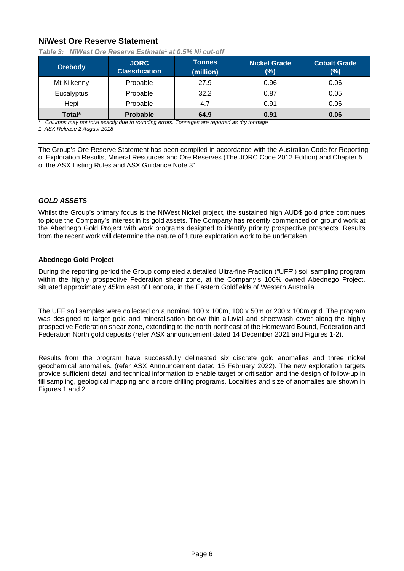## **NiWest Ore Reserve Statement**

| <b>Orebody</b> | <b>JORC</b><br><b>Classification</b> | <b>Tonnes</b><br>(million) | <b>Nickel Grade</b><br>$(\%)$ | <b>Cobalt Grade</b><br>$(\%)$ |
|----------------|--------------------------------------|----------------------------|-------------------------------|-------------------------------|
| Mt Kilkenny    | Probable                             | 27.9                       | 0.96                          | 0.06                          |
| Eucalyptus     | Probable                             | 32.2                       | 0.87                          | 0.05                          |
| Hepi           | Probable                             | 4.7                        | 0.91                          | 0.06                          |
| Total*         | <b>Probable</b>                      | 64.9                       | 0.91                          | 0.06                          |

*Table 3: NiWest Ore Reserve Estimate1 at 0.5% Ni cut-off*

*\* Columns may not total exactly due to rounding errors. Tonnages are reported as dry tonnage*

*1 ASX Release 2 August 2018*

The Group's Ore Reserve Statement has been compiled in accordance with the Australian Code for Reporting of Exploration Results, Mineral Resources and Ore Reserves (The JORC Code 2012 Edition) and Chapter 5 of the ASX Listing Rules and ASX Guidance Note 31.

## *GOLD ASSETS*

Whilst the Group's primary focus is the NiWest Nickel project, the sustained high AUD\$ gold price continues to pique the Company's interest in its gold assets. The Company has recently commenced on ground work at the Abednego Gold Project with work programs designed to identify priority prospective prospects. Results from the recent work will determine the nature of future exploration work to be undertaken.

## **Abednego Gold Project**

During the reporting period the Group completed a detailed Ultra-fine Fraction ("UFF") soil sampling program within the highly prospective Federation shear zone, at the Company's 100% owned Abednego Project, situated approximately 45km east of Leonora, in the Eastern Goldfields of Western Australia.

The UFF soil samples were collected on a nominal 100 x 100m, 100 x 50m or 200 x 100m grid. The program was designed to target gold and mineralisation below thin alluvial and sheetwash cover along the highly prospective Federation shear zone, extending to the north-northeast of the Homeward Bound, Federation and Federation North gold deposits (refer ASX announcement dated 14 December 2021 and Figures 1-2).

Results from the program have successfully delineated six discrete gold anomalies and three nickel geochemical anomalies. (refer ASX Announcement dated 15 February 2022). The new exploration targets provide sufficient detail and technical information to enable target prioritisation and the design of follow-up in fill sampling, geological mapping and aircore drilling programs. Localities and size of anomalies are shown in Figures 1 and 2.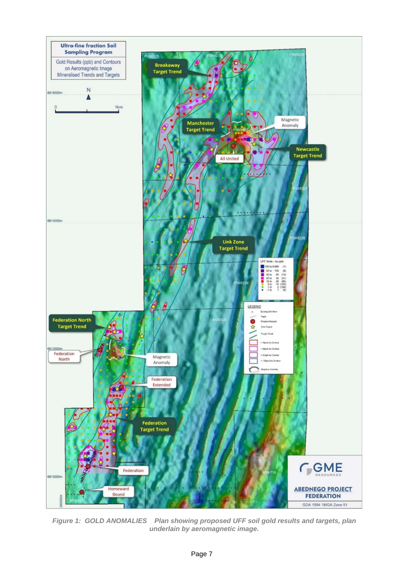

*Figure 1: GOLD ANOMALIES Plan showing proposed UFF soil gold results and targets, plan underlain by aeromagnetic image.*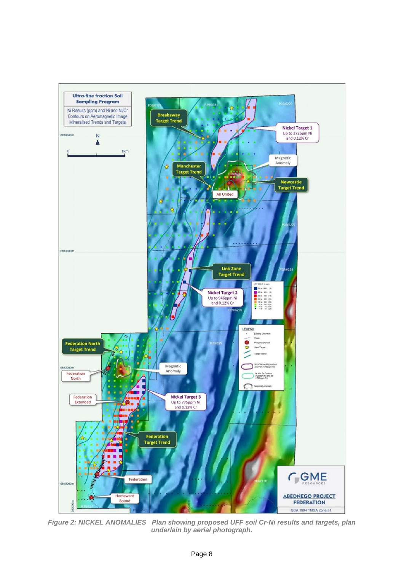

*Figure 2: NICKEL ANOMALIES Plan showing proposed UFF soil Cr-Ni results and targets, plan underlain by aerial photograph.*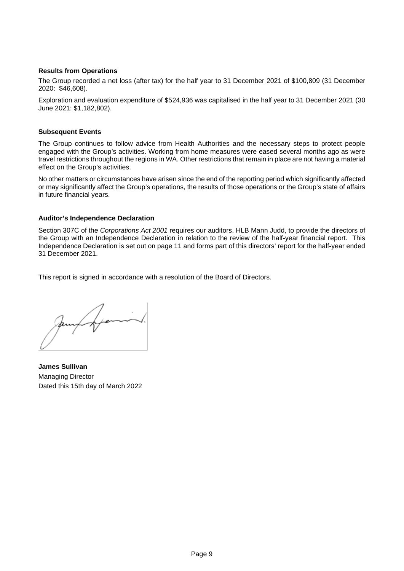## **Results from Operations**

The Group recorded a net loss (after tax) for the half year to 31 December 2021 of \$100,809 (31 December 2020: \$46,608).

Exploration and evaluation expenditure of \$524,936 was capitalised in the half year to 31 December 2021 (30 June 2021: \$1,182,802).

## **Subsequent Events**

The Group continues to follow advice from Health Authorities and the necessary steps to protect people engaged with the Group's activities. Working from home measures were eased several months ago as were travel restrictions throughout the regions in WA. Other restrictions that remain in place are not having a material effect on the Group's activities.

No other matters or circumstances have arisen since the end of the reporting period which significantly affected or may significantly affect the Group's operations, the results of those operations or the Group's state of affairs in future financial years.

## **Auditor's Independence Declaration**

Section 307C of the *Corporations Act 2001* requires our auditors, HLB Mann Judd, to provide the directors of the Group with an Independence Declaration in relation to the review of the half-year financial report. This Independence Declaration is set out on page 11 and forms part of this directors' report for the half-year ended 31 December 2021.

This report is signed in accordance with a resolution of the Board of Directors.

Jamy of pomint.

**James Sullivan** Managing Director Dated this 15th day of March 2022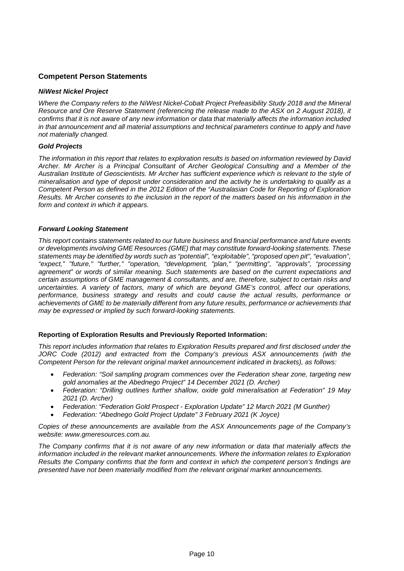## **Competent Person Statements**

## *NiWest Nickel Project*

*Where the Company refers to the NiWest Nickel-Cobalt Project Prefeasibility Study 2018 and the Mineral Resource and Ore Reserve Statement (referencing the release made to the ASX on 2 August 2018), it confirms that it is not aware of any new information or data that materially affects the information included in that announcement and all material assumptions and technical parameters continue to apply and have not materially changed.* 

## *Gold Projects*

*The information in this report that relates to exploration results is based on information reviewed by David Archer. Mr Archer is a Principal Consultant of Archer Geological Consulting and a Member of the Australian Institute of Geoscientists. Mr Archer has sufficient experience which is relevant to the style of mineralisation and type of deposit under consideration and the activity he is undertaking to qualify as a Competent Person as defined in the 2012 Edition of the "Australasian Code for Reporting of Exploration Results. Mr Archer consents to the inclusion in the report of the matters based on his information in the form and context in which it appears.*

## *Forward Looking Statement*

*This report contains statements related to our future business and financial performance and future events or developments involving GME Resources (GME) that may constitute forward-looking statements. These statements may be identified by words such as "potential", "exploitable", "proposed open pit", "evaluation", "expect," "future," "further," "operation, "development, "plan," "permitting", "approvals", "processing agreement" or words of similar meaning. Such statements are based on the current expectations and certain assumptions of GME management & consultants, and are, therefore, subject to certain risks and uncertainties. A variety of factors, many of which are beyond GME's control, affect our operations, performance, business strategy and results and could cause the actual results, performance or achievements of GME to be materially different from any future results, performance or achievements that may be expressed or implied by such forward-looking statements.* 

## **Reporting of Exploration Results and Previously Reported Information:**

*This report includes information that relates to Exploration Results prepared and first disclosed under the JORC Code (2012) and extracted from the Company's previous ASX announcements (with the Competent Person for the relevant original market announcement indicated in brackets), as follows:*

- *Federation: "Soil sampling program commences over the Federation shear zone, targeting new gold anomalies at the Abednego Project" 14 December 2021 (D. Archer)*
- *Federation: "Drilling outlines further shallow, oxide gold mineralisation at Federation" 19 May 2021 (D. Archer)*
- *Federation: "Federation Gold Prospect - Exploration Update" 12 March 2021 (M Gunther)*
- *Federation: "Abednego Gold Project Update" 3 February 2021 (K Joyce)*

*Copies of these announcements are available from the ASX Announcements page of the Company's website: [www.gmeresources.com.au.](http://www.gmeresources.com.au/)* 

*The Company confirms that it is not aware of any new information or data that materially affects the information included in the relevant market announcements. Where the information relates to Exploration Results the Company confirms that the form and context in which the competent person's findings are presented have not been materially modified from the relevant original market announcements.*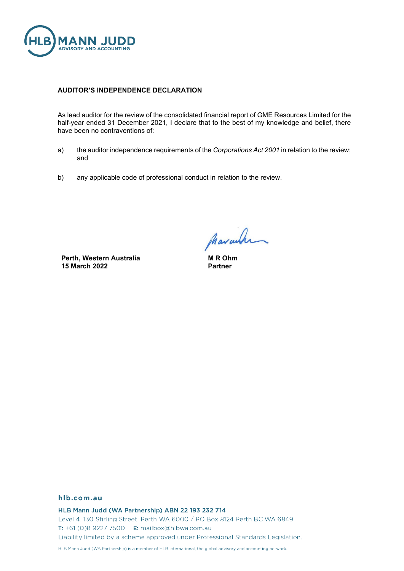

## **AUDITOR'S INDEPENDENCE DECLARATION**

As lead auditor for the review of the consolidated financial report of GME Resources Limited for the half-year ended 31 December 2021, I declare that to the best of my knowledge and belief, there have been no contraventions of:

- a) the auditor independence requirements of the *Corporations Act 2001* in relation to the review; and
- b) any applicable code of professional conduct in relation to the review.

**Perth, Western Australia 15 March 2022**

Marcula

**M R Ohm Partner**

#### hlb.com.au

HLB Mann Judd (WA Partnership) ABN 22 193 232 714 Level 4, 130 Stirling Street, Perth WA 6000 / PO Box 8124 Perth BC WA 6849 T: +61 (0)8 9227 7500 E: mailbox@hlbwa.com.au Liability limited by a scheme approved under Professional Standards Legislation.

HLB Mann Judd (WA Partnership) is a member of HLB International, the global advisory and accounting network.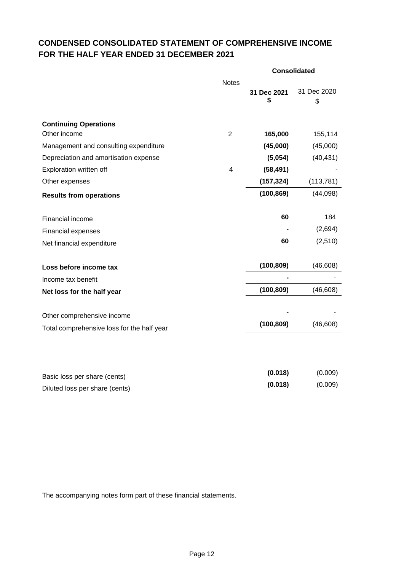## **CONDENSED CONSOLIDATED STATEMENT OF COMPREHENSIVE INCOME FOR THE HALF YEAR ENDED 31 DECEMBER 2021**

|                                            |                         | <b>Consolidated</b> |                   |  |
|--------------------------------------------|-------------------------|---------------------|-------------------|--|
|                                            | <b>Notes</b>            | 31 Dec 2021<br>\$   | 31 Dec 2020<br>\$ |  |
| <b>Continuing Operations</b>               |                         |                     |                   |  |
| Other income                               | $\overline{2}$          | 165,000             | 155,114           |  |
| Management and consulting expenditure      |                         | (45,000)            | (45,000)          |  |
| Depreciation and amortisation expense      |                         | (5,054)             | (40, 431)         |  |
| Exploration written off                    | $\overline{\mathbf{4}}$ | (58, 491)           |                   |  |
| Other expenses                             |                         | (157, 324)          | (113, 781)        |  |
| <b>Results from operations</b>             |                         | (100, 869)          | (44,098)          |  |
| Financial income                           |                         | 60                  | 184               |  |
| Financial expenses                         |                         |                     | (2,694)           |  |
| Net financial expenditure                  |                         | 60                  | (2,510)           |  |
| Loss before income tax                     |                         | (100, 809)          | (46, 608)         |  |
| Income tax benefit                         |                         |                     |                   |  |
| Net loss for the half year                 |                         | (100, 809)          | (46, 608)         |  |
| Other comprehensive income                 |                         |                     |                   |  |
| Total comprehensive loss for the half year |                         | (100, 809)          | (46, 608)         |  |
|                                            |                         |                     |                   |  |
| Basic loss per share (cents)               |                         | (0.018)             | (0.009)           |  |
| Diluted loss per share (cents)             |                         | (0.018)             | (0.009)           |  |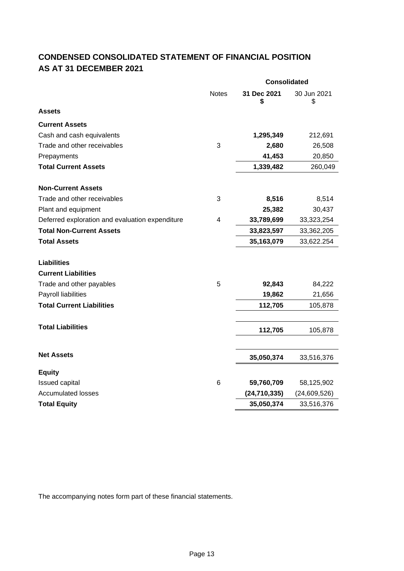## **CONDENSED CONSOLIDATED STATEMENT OF FINANCIAL POSITION AS AT 31 DECEMBER 2021**

|                                                 |              | <b>Consolidated</b> |                   |  |  |
|-------------------------------------------------|--------------|---------------------|-------------------|--|--|
|                                                 | <b>Notes</b> | 31 Dec 2021<br>\$   | 30 Jun 2021<br>\$ |  |  |
| <b>Assets</b>                                   |              |                     |                   |  |  |
| <b>Current Assets</b>                           |              |                     |                   |  |  |
| Cash and cash equivalents                       |              | 1,295,349           | 212,691           |  |  |
| Trade and other receivables                     | 3            | 2,680               | 26,508            |  |  |
| Prepayments                                     |              | 41,453              | 20,850            |  |  |
| <b>Total Current Assets</b>                     |              | 1,339,482           | 260,049           |  |  |
| <b>Non-Current Assets</b>                       |              |                     |                   |  |  |
| Trade and other receivables                     | 3            | 8,516               | 8,514             |  |  |
| Plant and equipment                             |              | 25,382              | 30,437            |  |  |
| Deferred exploration and evaluation expenditure | 4            | 33,789,699          | 33,323,254        |  |  |
| <b>Total Non-Current Assets</b>                 |              | 33,823,597          | 33,362,205        |  |  |
| <b>Total Assets</b>                             |              | 35,163,079          | 33,622.254        |  |  |
|                                                 |              |                     |                   |  |  |
| <b>Liabilities</b>                              |              |                     |                   |  |  |
| <b>Current Liabilities</b>                      | 5            |                     |                   |  |  |
| Trade and other payables<br>Payroll liabilities |              | 92,843<br>19,862    | 84,222<br>21,656  |  |  |
| <b>Total Current Liabilities</b>                |              | 112,705             | 105,878           |  |  |
|                                                 |              |                     |                   |  |  |
| <b>Total Liabilities</b>                        |              | 112,705             | 105,878           |  |  |
|                                                 |              |                     |                   |  |  |
| <b>Net Assets</b>                               |              | 35,050,374          | 33,516,376        |  |  |
| <b>Equity</b>                                   |              |                     |                   |  |  |
| <b>Issued capital</b>                           | 6            | 59,760,709          | 58,125,902        |  |  |
| <b>Accumulated losses</b>                       |              | (24, 710, 335)      | (24, 609, 526)    |  |  |
| <b>Total Equity</b>                             |              | 35,050,374          | 33,516,376        |  |  |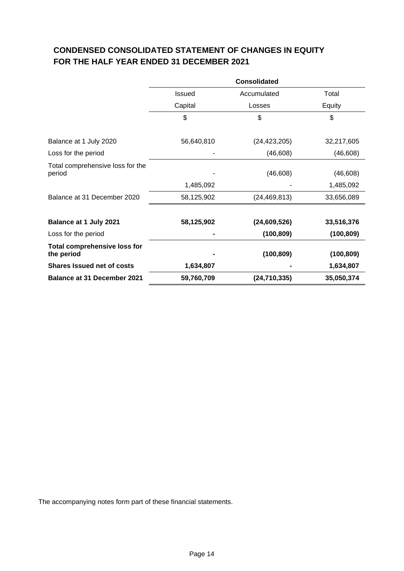## **CONDENSED CONSOLIDATED STATEMENT OF CHANGES IN EQUITY FOR THE HALF YEAR ENDED 31 DECEMBER 2021**

|                                                   | <b>Consolidated</b> |                |            |  |
|---------------------------------------------------|---------------------|----------------|------------|--|
|                                                   | Issued              | Accumulated    | Total      |  |
|                                                   | Capital             | Losses         | Equity     |  |
|                                                   | \$                  | \$             | \$         |  |
| Balance at 1 July 2020                            | 56,640,810          | (24, 423, 205) | 32,217,605 |  |
| Loss for the period                               |                     | (46, 608)      | (46, 608)  |  |
| Total comprehensive loss for the<br>period        |                     | (46, 608)      | (46, 608)  |  |
|                                                   | 1,485,092           |                | 1,485,092  |  |
| Balance at 31 December 2020                       | 58,125,902          | (24, 469, 813) | 33,656,089 |  |
| <b>Balance at 1 July 2021</b>                     | 58,125,902          | (24, 609, 526) | 33,516,376 |  |
| Loss for the period                               |                     | (100, 809)     | (100, 809) |  |
| <b>Total comprehensive loss for</b><br>the period |                     | (100, 809)     | (100, 809) |  |
| <b>Shares Issued net of costs</b>                 | 1,634,807           |                | 1,634,807  |  |
| <b>Balance at 31 December 2021</b>                | 59,760,709          | (24, 710, 335) | 35,050,374 |  |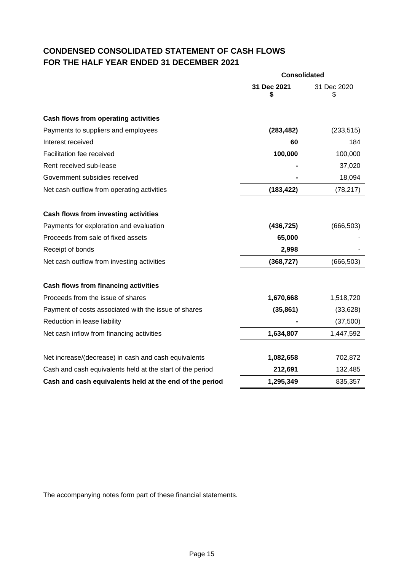## **CONDENSED CONSOLIDATED STATEMENT OF CASH FLOWS FOR THE HALF YEAR ENDED 31 DECEMBER 2021**

|                                                           | <b>Consolidated</b> |                   |  |
|-----------------------------------------------------------|---------------------|-------------------|--|
|                                                           | 31 Dec 2021<br>S    | 31 Dec 2020<br>\$ |  |
| Cash flows from operating activities                      |                     |                   |  |
| Payments to suppliers and employees                       | (283, 482)          | (233, 515)        |  |
| Interest received                                         | 60                  | 184               |  |
| Facilitation fee received                                 | 100,000             | 100,000           |  |
| Rent received sub-lease                                   |                     | 37,020            |  |
| Government subsidies received                             |                     | 18,094            |  |
| Net cash outflow from operating activities                | (183, 422)          | (78, 217)         |  |
| Cash flows from investing activities                      |                     |                   |  |
| Payments for exploration and evaluation                   | (436, 725)          | (666, 503)        |  |
| Proceeds from sale of fixed assets                        | 65,000              |                   |  |
| Receipt of bonds                                          | 2,998               |                   |  |
| Net cash outflow from investing activities                | (368, 727)          | (666, 503)        |  |
| Cash flows from financing activities                      |                     |                   |  |
| Proceeds from the issue of shares                         | 1,670,668           | 1,518,720         |  |
| Payment of costs associated with the issue of shares      | (35, 861)           | (33, 628)         |  |
| Reduction in lease liability                              |                     | (37,500)          |  |
| Net cash inflow from financing activities                 | 1,634,807           | 1,447,592         |  |
| Net increase/(decrease) in cash and cash equivalents      | 1,082,658           | 702,872           |  |
| Cash and cash equivalents held at the start of the period | 212,691             | 132,485           |  |
| Cash and cash equivalents held at the end of the period   | 1,295,349           | 835,357           |  |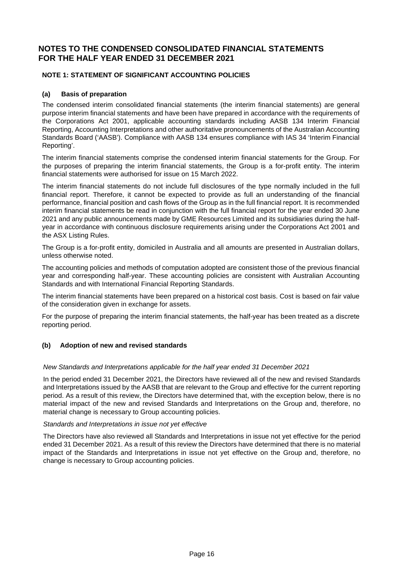## **NOTE 1: STATEMENT OF SIGNIFICANT ACCOUNTING POLICIES**

## **(a) Basis of preparation**

The condensed interim consolidated financial statements (the interim financial statements) are general purpose interim financial statements and have been have prepared in accordance with the requirements of the Corporations Act 2001, applicable accounting standards including AASB 134 Interim Financial Reporting, Accounting Interpretations and other authoritative pronouncements of the Australian Accounting Standards Board ('AASB'). Compliance with AASB 134 ensures compliance with IAS 34 'Interim Financial Reporting'.

The interim financial statements comprise the condensed interim financial statements for the Group. For the purposes of preparing the interim financial statements, the Group is a for-profit entity. The interim financial statements were authorised for issue on 15 March 2022.

The interim financial statements do not include full disclosures of the type normally included in the full financial report. Therefore, it cannot be expected to provide as full an understanding of the financial performance, financial position and cash flows of the Group as in the full financial report. It is recommended interim financial statements be read in conjunction with the full financial report for the year ended 30 June 2021 and any public announcements made by GME Resources Limited and its subsidiaries during the halfyear in accordance with continuous disclosure requirements arising under the Corporations Act 2001 and the ASX Listing Rules.

The Group is a for-profit entity, domiciled in Australia and all amounts are presented in Australian dollars, unless otherwise noted.

The accounting policies and methods of computation adopted are consistent those of the previous financial year and corresponding half-year. These accounting policies are consistent with Australian Accounting Standards and with International Financial Reporting Standards.

The interim financial statements have been prepared on a historical cost basis. Cost is based on fair value of the consideration given in exchange for assets.

For the purpose of preparing the interim financial statements, the half-year has been treated as a discrete reporting period.

## **(b) Adoption of new and revised standards**

## *New Standards and Interpretations applicable for the half year ended 31 December 2021*

In the period ended 31 December 2021, the Directors have reviewed all of the new and revised Standards and Interpretations issued by the AASB that are relevant to the Group and effective for the current reporting period. As a result of this review, the Directors have determined that, with the exception below, there is no material impact of the new and revised Standards and Interpretations on the Group and, therefore, no material change is necessary to Group accounting policies.

## *Standards and Interpretations in issue not yet effective*

The Directors have also reviewed all Standards and Interpretations in issue not yet effective for the period ended 31 December 2021. As a result of this review the Directors have determined that there is no material impact of the Standards and Interpretations in issue not yet effective on the Group and, therefore, no change is necessary to Group accounting policies.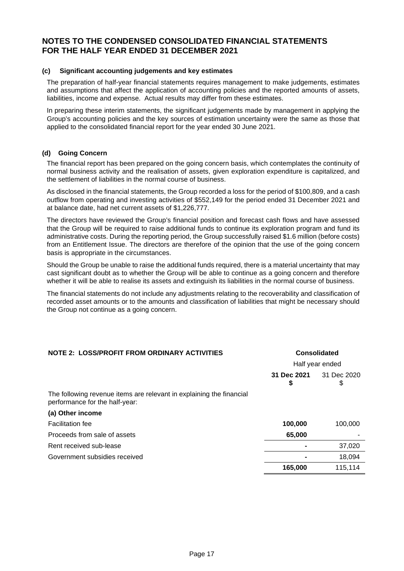## **(c) Significant accounting judgements and key estimates**

The preparation of half-year financial statements requires management to make judgements, estimates and assumptions that affect the application of accounting policies and the reported amounts of assets, liabilities, income and expense. Actual results may differ from these estimates.

In preparing these interim statements, the significant judgements made by management in applying the Group's accounting policies and the key sources of estimation uncertainty were the same as those that applied to the consolidated financial report for the year ended 30 June 2021.

## **(d) Going Concern**

The financial report has been prepared on the going concern basis, which contemplates the continuity of normal business activity and the realisation of assets, given exploration expenditure is capitalized, and the settlement of liabilities in the normal course of business.

As disclosed in the financial statements, the Group recorded a loss for the period of \$100,809, and a cash outflow from operating and investing activities of \$552,149 for the period ended 31 December 2021 and at balance date, had net current assets of \$1,226,777.

The directors have reviewed the Group's financial position and forecast cash flows and have assessed that the Group will be required to raise additional funds to continue its exploration program and fund its administrative costs. During the reporting period, the Group successfully raised \$1.6 million (before costs) from an Entitlement Issue. The directors are therefore of the opinion that the use of the going concern basis is appropriate in the circumstances.

Should the Group be unable to raise the additional funds required, there is a material uncertainty that may cast significant doubt as to whether the Group will be able to continue as a going concern and therefore whether it will be able to realise its assets and extinguish its liabilities in the normal course of business.

The financial statements do not include any adjustments relating to the recoverability and classification of recorded asset amounts or to the amounts and classification of liabilities that might be necessary should the Group not continue as a going concern.

| <b>NOTE 2: LOSS/PROFIT FROM ORDINARY ACTIVITIES</b>                                                    | <b>Consolidated</b> |                   |  |  |
|--------------------------------------------------------------------------------------------------------|---------------------|-------------------|--|--|
|                                                                                                        |                     | Half year ended   |  |  |
|                                                                                                        | 31 Dec 2021<br>\$   | 31 Dec 2020<br>\$ |  |  |
| The following revenue items are relevant in explaining the financial<br>performance for the half-year: |                     |                   |  |  |
| (a) Other income                                                                                       |                     |                   |  |  |
| <b>Facilitation fee</b>                                                                                | 100,000             | 100,000           |  |  |
| Proceeds from sale of assets                                                                           | 65,000              |                   |  |  |
| Rent received sub-lease                                                                                |                     | 37,020            |  |  |
| Government subsidies received                                                                          |                     | 18,094            |  |  |
|                                                                                                        | 165,000             | 115,114           |  |  |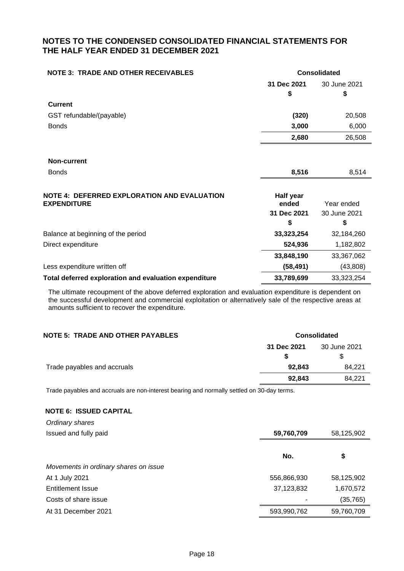| <b>NOTE 3: TRADE AND OTHER RECEIVABLES</b>            | <b>Consolidated</b> |              |
|-------------------------------------------------------|---------------------|--------------|
|                                                       | 31 Dec 2021         | 30 June 2021 |
|                                                       | S                   | S            |
| <b>Current</b>                                        |                     |              |
| GST refundable/(payable)                              | (320)               | 20,508       |
| <b>Bonds</b>                                          | 3,000               | 6,000        |
|                                                       | 2,680               | 26,508       |
|                                                       |                     |              |
| <b>Non-current</b>                                    |                     |              |
| <b>Bonds</b>                                          | 8,516               | 8,514        |
|                                                       |                     |              |
| NOTE 4: DEFERRED EXPLORATION AND EVALUATION           | Half year           |              |
| <b>EXPENDITURE</b>                                    | ended               | Year ended   |
|                                                       | 31 Dec 2021         | 30 June 2021 |
|                                                       | \$                  | \$           |
| Balance at beginning of the period                    | 33,323,254          | 32,184,260   |
| Direct expenditure                                    | 524,936             | 1,182,802    |
|                                                       | 33,848,190          | 33,367,062   |
| Less expenditure written off                          | (58, 491)           | (43,808)     |
| Total deferred exploration and evaluation expenditure | 33,789,699          | 33,323,254   |

The ultimate recoupment of the above deferred exploration and evaluation expenditure is dependent on the successful development and commercial exploitation or alternatively sale of the respective areas at amounts sufficient to recover the expenditure.

## **NOTE** 5: TRADE AND OTHER PAYABLES **AND SEXUAL SEXUAL SEXUAL SEXUAL SEXUAL SEXUAL SEXUAL SEXUAL SEXUAL SEXUAL SEXUAL SEXUAL SEXUAL SEXUAL SEXUAL SEXUAL SEXUAL SEXUAL SEXUAL SEXUAL SEXUAL SEXUAL SEXUAL SEXUAL SEXUAL SEXUAL**

|                             | 31 Dec 2021 | 30 June 2021<br>\$ |
|-----------------------------|-------------|--------------------|
| Trade payables and accruals | 92,843      | 84.221             |
|                             | 92.843      | 84.221             |

Trade payables and accruals are non-interest bearing and normally settled on 30-day terms.

## **NOTE 6: ISSUED CAPITAL**

| Ordinary shares                       |             |            |
|---------------------------------------|-------------|------------|
| Issued and fully paid                 | 59,760,709  | 58,125,902 |
|                                       | No.         | \$         |
| Movements in ordinary shares on issue |             |            |
| At 1 July 2021                        | 556,866,930 | 58,125,902 |
| <b>Entitlement Issue</b>              | 37,123,832  | 1,670,572  |
| Costs of share issue                  |             | (35, 765)  |
| At 31 December 2021                   | 593,990,762 | 59,760,709 |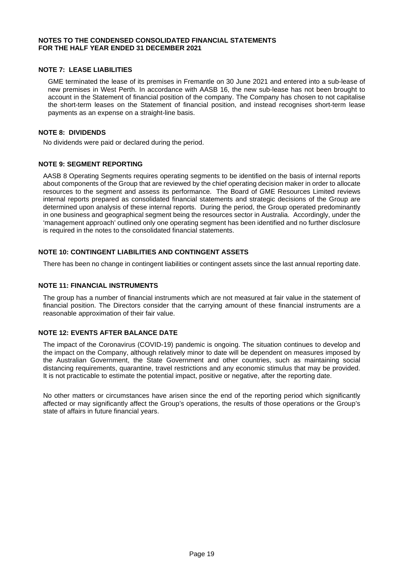## **NOTE 7: LEASE LIABILITIES**

GME terminated the lease of its premises in Fremantle on 30 June 2021 and entered into a sub-lease of new premises in West Perth. In accordance with AASB 16, the new sub-lease has not been brought to account in the Statement of financial position of the company. The Company has chosen to not capitalise the short-term leases on the Statement of financial position, and instead recognises short-term lease payments as an expense on a straight-line basis.

## **NOTE 8: DIVIDENDS**

No dividends were paid or declared during the period.

## **NOTE 9: SEGMENT REPORTING**

AASB 8 Operating Segments requires operating segments to be identified on the basis of internal reports about components of the Group that are reviewed by the chief operating decision maker in order to allocate resources to the segment and assess its performance. The Board of GME Resources Limited reviews internal reports prepared as consolidated financial statements and strategic decisions of the Group are determined upon analysis of these internal reports. During the period, the Group operated predominantly in one business and geographical segment being the resources sector in Australia. Accordingly, under the 'management approach' outlined only one operating segment has been identified and no further disclosure is required in the notes to the consolidated financial statements.

## **NOTE 10: CONTINGENT LIABILITIES AND CONTINGENT ASSETS**

There has been no change in contingent liabilities or contingent assets since the last annual reporting date.

## **NOTE 11: FINANCIAL INSTRUMENTS**

The group has a number of financial instruments which are not measured at fair value in the statement of financial position. The Directors consider that the carrying amount of these financial instruments are a reasonable approximation of their fair value.

## **NOTE 12: EVENTS AFTER BALANCE DATE**

The impact of the Coronavirus (COVID-19) pandemic is ongoing. The situation continues to develop and the impact on the Company, although relatively minor to date will be dependent on measures imposed by the Australian Government, the State Government and other countries, such as maintaining social distancing requirements, quarantine, travel restrictions and any economic stimulus that may be provided. It is not practicable to estimate the potential impact, positive or negative, after the reporting date.

No other matters or circumstances have arisen since the end of the reporting period which significantly affected or may significantly affect the Group's operations, the results of those operations or the Group's state of affairs in future financial years.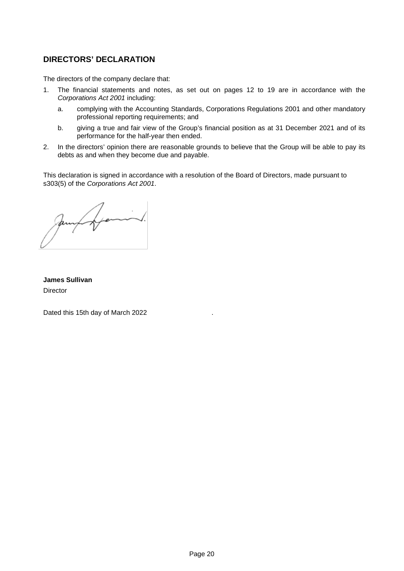## **DIRECTORS' DECLARATION**

The directors of the company declare that:

- 1. The financial statements and notes, as set out on pages 12 to 19 are in accordance with the *Corporations Act 2001* including:
	- a. complying with the Accounting Standards, Corporations Regulations 2001 and other mandatory professional reporting requirements; and
	- b. giving a true and fair view of the Group's financial position as at 31 December 2021 and of its performance for the half-year then ended.
- 2. In the directors' opinion there are reasonable grounds to believe that the Group will be able to pay its debts as and when they become due and payable.

This declaration is signed in accordance with a resolution of the Board of Directors, made pursuant to s303(5) of the *Corporations Act 2001*.

James framing.

**James Sullivan** Director

Dated this 15th day of March 2022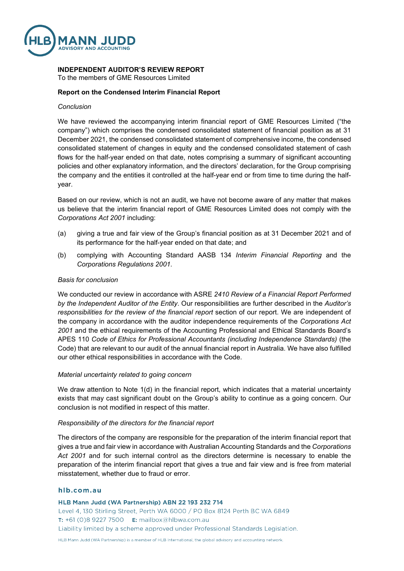

## **INDEPENDENT AUDITOR'S REVIEW REPORT**

To the members of GME Resources Limited

## **Report on the Condensed Interim Financial Report**

#### *Conclusion*

We have reviewed the accompanying interim financial report of GME Resources Limited ("the company") which comprises the condensed consolidated statement of financial position as at 31 December 2021, the condensed consolidated statement of comprehensive income, the condensed consolidated statement of changes in equity and the condensed consolidated statement of cash flows for the half-year ended on that date, notes comprising a summary of significant accounting policies and other explanatory information, and the directors' declaration, for the Group comprising the company and the entities it controlled at the half-year end or from time to time during the halfyear.

Based on our review, which is not an audit, we have not become aware of any matter that makes us believe that the interim financial report of GME Resources Limited does not comply with the *Corporations Act 2001* including:

- (a) giving a true and fair view of the Group's financial position as at 31 December 2021 and of its performance for the half-year ended on that date; and
- (b) complying with Accounting Standard AASB 134 *Interim Financial Reporting* and the *Corporations Regulations 2001*.

## *Basis for conclusion*

We conducted our review in accordance with ASRE *2410 Review of a Financial Report Performed by the Independent Auditor of the Entity*. Our responsibilities are further described in the *Auditor's responsibilities for the review of the financial report* section of our report. We are independent of the company in accordance with the auditor independence requirements of the *Corporations Act 2001* and the ethical requirements of the Accounting Professional and Ethical Standards Board's APES 110 *Code of Ethics for Professional Accountants (including Independence Standards)* (the Code) that are relevant to our audit of the annual financial report in Australia. We have also fulfilled our other ethical responsibilities in accordance with the Code.

#### *Material uncertainty related to going concern*

We draw attention to Note 1(d) in the financial report, which indicates that a material uncertainty exists that may cast significant doubt on the Group's ability to continue as a going concern. Our conclusion is not modified in respect of this matter.

## *Responsibility of the directors for the financial report*

The directors of the company are responsible for the preparation of the interim financial report that gives a true and fair view in accordance with Australian Accounting Standards and the *Corporations Act 2001* and for such internal control as the directors determine is necessary to enable the preparation of the interim financial report that gives a true and fair view and is free from material misstatement, whether due to fraud or error.

## hlb.com.au

HLB Mann Judd (WA Partnership) ABN 22 193 232 714

Level 4, 130 Stirling Street, Perth WA 6000 / PO Box 8124 Perth BC WA 6849 T: +61 (0)8 9227 7500 E: mailbox@hlbwa.com.au Liability limited by a scheme approved under Professional Standards Legislation.